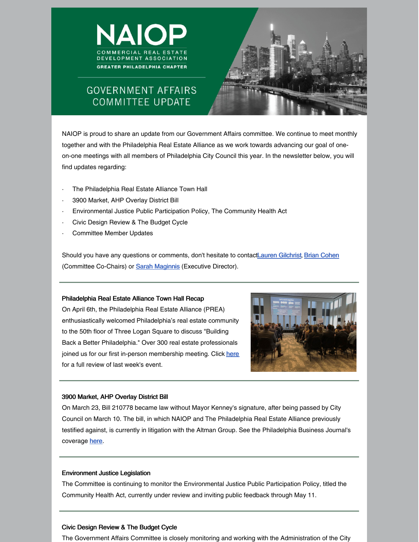



# **GOVERNMENT AFFAIRS COMMITTEE UPDATE**

NAIOP is proud to share an update from our Government Affairs committee. We continue to meet monthly together and with the Philadelphia Real Estate Alliance as we work towards advancing our goal of oneon-one meetings with all members of Philadelphia City Council this year. In the newsletter below, you will find updates regarding:

- The Philadelphia Real Estate Alliance Town Hall
- · 3900 Market, AHP Overlay District Bill
- · Environmental Justice Public Participation Policy, The Community Health Act
- · Civic Design Review & The Budget Cycle
- Committee Member Updates

Should you have any questions or comments, don't hesitate to contactLauren [Gilchrist](mailto:lgilchrist@lfrep.com), Brian [Cohen](mailto:bcohen@ensemble.net) (Committee Co-Chairs) or **Sarah [Maginnis](mailto:smaginnis@naiopphila.org)** (Executive Director).

### Philadelphia Real Estate Alliance Town Hall Recap

On April 6th, the Philadelphia Real Estate Alliance (PREA) enthusiastically welcomed Philadelphia's real estate community to the 50th floor of Three Logan Square to discuss "Building Back a Better Philadelphia." Over 300 real estate professionals joined us for our first in-person membership meeting. Click [here](https://files.constantcontact.com/36f9f61a501/27307dd7-8d4b-45b5-b1f6-b2e7c4374722.pdf) for a full review of last week's event.



### 3900 Market, AHP Overlay District Bill

On March 23, Bill 210778 became law without Mayor Kenney's signature, after being passed by City Council on March 10. The bill, in which NAIOP and The Philadelphia Real Estate Alliance previously testified against, is currently in litigation with the Altman Group. See the Philadelphia Business Journal's coverage **[here](https://www.bizjournals.com/philadelphia/news/2022/03/27/bill-enacted-that-affordable-housing-overlay.html)**.

## Environment Justice Legislation

The Committee is continuing to monitor the Environmental Justice Public Participation Policy, titled the Community Health Act, currently under review and inviting public feedback through May 11.

# Civic Design Review & The Budget Cycle

The Government Affairs Committee is closely monitoring and working with the Administration of the City